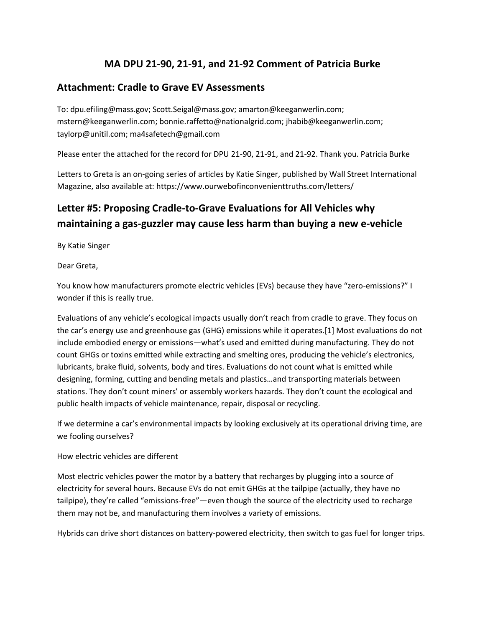## **MA DPU 21-90, 21-91, and 21-92 Comment of Patricia Burke**

### **Attachment: Cradle to Grave EV Assessments**

To: dpu.efiling@mass.gov; Scott.Seigal@mass.gov; amarton@keeganwerlin.com; mstern@keeganwerlin.com; bonnie.raffetto@nationalgrid.com; jhabib@keeganwerlin.com; taylorp@unitil.com; ma4safetech@gmail.com

Please enter the attached for the record for DPU 21-90, 21-91, and 21-92. Thank you. Patricia Burke

Letters to Greta is an on-going series of articles by Katie Singer, published by Wall Street International Magazine, also available at: https://www.ourwebofinconvenienttruths.com/letters/

# **Letter #5: Proposing Cradle-to-Grave Evaluations for All Vehicles why maintaining a gas-guzzler may cause less harm than buying a new e-vehicle**

By Katie Singer

Dear Greta,

You know how manufacturers promote electric vehicles (EVs) because they have "zero-emissions?" I wonder if this is really true.

Evaluations of any vehicle's ecological impacts usually don't reach from cradle to grave. They focus on the car's energy use and greenhouse gas (GHG) emissions while it operates.[1] Most evaluations do not include embodied energy or emissions—what's used and emitted during manufacturing. They do not count GHGs or toxins emitted while extracting and smelting ores, producing the vehicle's electronics, lubricants, brake fluid, solvents, body and tires. Evaluations do not count what is emitted while designing, forming, cutting and bending metals and plastics…and transporting materials between stations. They don't count miners' or assembly workers hazards. They don't count the ecological and public health impacts of vehicle maintenance, repair, disposal or recycling.

If we determine a car's environmental impacts by looking exclusively at its operational driving time, are we fooling ourselves?

#### How electric vehicles are different

Most electric vehicles power the motor by a battery that recharges by plugging into a source of electricity for several hours. Because EVs do not emit GHGs at the tailpipe (actually, they have no tailpipe), they're called "emissions-free"—even though the source of the electricity used to recharge them may not be, and manufacturing them involves a variety of emissions.

Hybrids can drive short distances on battery-powered electricity, then switch to gas fuel for longer trips.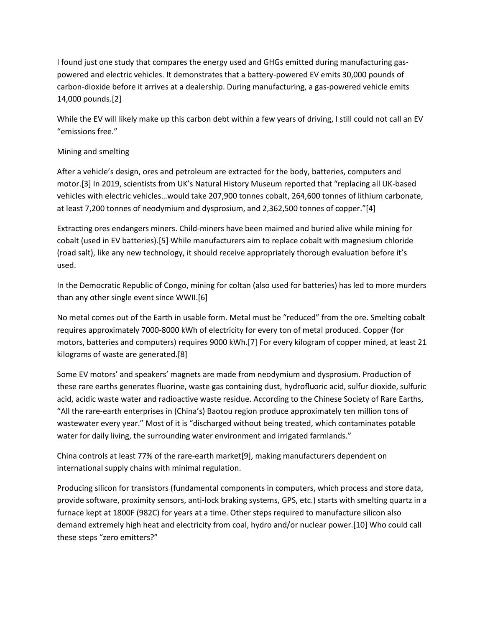I found just one study that compares the energy used and GHGs emitted during manufacturing gaspowered and electric vehicles. It demonstrates that a battery-powered EV emits 30,000 pounds of carbon-dioxide before it arrives at a dealership. During manufacturing, a gas-powered vehicle emits 14,000 pounds.[2]

While the EV will likely make up this carbon debt within a few years of driving, I still could not call an EV "emissions free."

#### Mining and smelting

After a vehicle's design, ores and petroleum are extracted for the body, batteries, computers and motor.[3] In 2019, scientists from UK's Natural History Museum reported that "replacing all UK-based vehicles with electric vehicles…would take 207,900 tonnes cobalt, 264,600 tonnes of lithium carbonate, at least 7,200 tonnes of neodymium and dysprosium, and 2,362,500 tonnes of copper."[4]

Extracting ores endangers miners. Child-miners have been maimed and buried alive while mining for cobalt (used in EV batteries).[5] While manufacturers aim to replace cobalt with magnesium chloride (road salt), like any new technology, it should receive appropriately thorough evaluation before it's used.

In the Democratic Republic of Congo, mining for coltan (also used for batteries) has led to more murders than any other single event since WWII.[6]

No metal comes out of the Earth in usable form. Metal must be "reduced" from the ore. Smelting cobalt requires approximately 7000-8000 kWh of electricity for every ton of metal produced. Copper (for motors, batteries and computers) requires 9000 kWh.[7] For every kilogram of copper mined, at least 21 kilograms of waste are generated.[8]

Some EV motors' and speakers' magnets are made from neodymium and dysprosium. Production of these rare earths generates fluorine, waste gas containing dust, hydrofluoric acid, sulfur dioxide, sulfuric acid, acidic waste water and radioactive waste residue. According to the Chinese Society of Rare Earths, "All the rare-earth enterprises in (China's) Baotou region produce approximately ten million tons of wastewater every year." Most of it is "discharged without being treated, which contaminates potable water for daily living, the surrounding water environment and irrigated farmlands."

China controls at least 77% of the rare-earth market[9], making manufacturers dependent on international supply chains with minimal regulation.

Producing silicon for transistors (fundamental components in computers, which process and store data, provide software, proximity sensors, anti-lock braking systems, GPS, etc.) starts with smelting quartz in a furnace kept at 1800F (982C) for years at a time. Other steps required to manufacture silicon also demand extremely high heat and electricity from coal, hydro and/or nuclear power.[10] Who could call these steps "zero emitters?"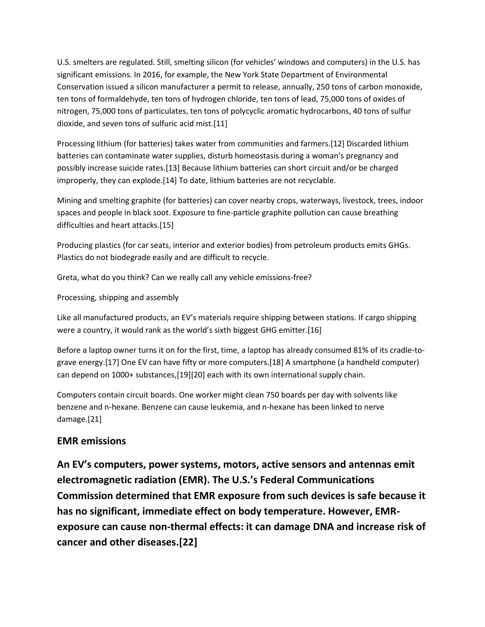U.S. smelters are regulated. Still, smelting silicon (for vehicles' windows and computers) in the U.S. has significant emissions. In 2016, for example, the New York State Department of Environmental Conservation issued a silicon manufacturer a permit to release, annually, 250 tons of carbon monoxide, ten tons of formaldehyde, ten tons of hydrogen chloride, ten tons of lead, 75,000 tons of oxides of nitrogen, 75,000 tons of particulates, ten tons of polycyclic aromatic hydrocarbons, 40 tons of sulfur dioxide, and seven tons of sulfuric acid mist.[11]

Processing lithium (for batteries) takes water from communities and farmers.[12] Discarded lithium batteries can contaminate water supplies, disturb homeostasis during a woman's pregnancy and possibly increase suicide rates.[13] Because lithium batteries can short circuit and/or be charged improperly, they can explode.[14] To date, lithium batteries are not recyclable.

Mining and smelting graphite (for batteries) can cover nearby crops, waterways, livestock, trees, indoor spaces and people in black soot. Exposure to fine-particle graphite pollution can cause breathing difficulties and heart attacks.[15]

Producing plastics (for car seats, interior and exterior bodies) from petroleum products emits GHGs. Plastics do not biodegrade easily and are difficult to recycle.

Greta, what do you think? Can we really call any vehicle emissions-free?

Processing, shipping and assembly

Like all manufactured products, an EV's materials require shipping between stations. If cargo shipping were a country, it would rank as the world's sixth biggest GHG emitter.[16]

Before a laptop owner turns it on for the first, time, a laptop has already consumed 81% of its cradle-tograve energy.[17] One EV can have fifty or more computers.[18] A smartphone (a handheld computer) can depend on 1000+ substances,[19][20] each with its own international supply chain.

Computers contain circuit boards. One worker might clean 750 boards per day with solvents like benzene and n-hexane. Benzene can cause leukemia, and n-hexane has been linked to nerve damage.[21]

### **EMR emissions**

**An EV's computers, power systems, motors, active sensors and antennas emit electromagnetic radiation (EMR). The U.S.'s Federal Communications Commission determined that EMR exposure from such devices is safe because it has no significant, immediate effect on body temperature. However, EMRexposure can cause non-thermal effects: it can damage DNA and increase risk of cancer and other diseases.[22]**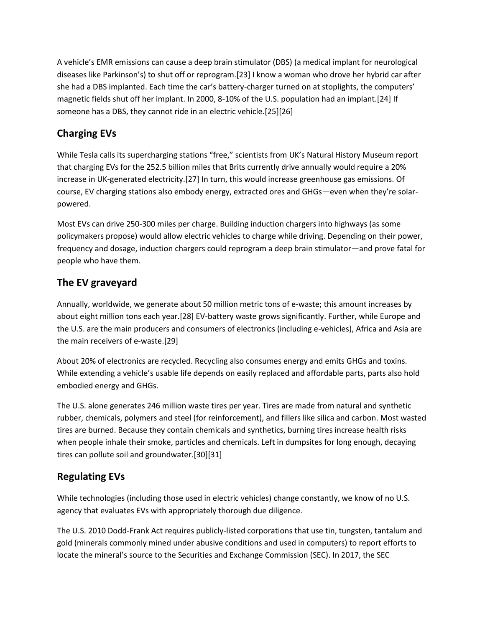A vehicle's EMR emissions can cause a deep brain stimulator (DBS) (a medical implant for neurological diseases like Parkinson's) to shut off or reprogram.[23] I know a woman who drove her hybrid car after she had a DBS implanted. Each time the car's battery-charger turned on at stoplights, the computers' magnetic fields shut off her implant. In 2000, 8-10% of the U.S. population had an implant.[24] If someone has a DBS, they cannot ride in an electric vehicle.[25][26]

# **Charging EVs**

While Tesla calls its supercharging stations "free," scientists from UK's Natural History Museum report that charging EVs for the 252.5 billion miles that Brits currently drive annually would require a 20% increase in UK-generated electricity.[27] In turn, this would increase greenhouse gas emissions. Of course, EV charging stations also embody energy, extracted ores and GHGs—even when they're solarpowered.

Most EVs can drive 250-300 miles per charge. Building induction chargers into highways (as some policymakers propose) would allow electric vehicles to charge while driving. Depending on their power, frequency and dosage, induction chargers could reprogram a deep brain stimulator—and prove fatal for people who have them.

# **The EV graveyard**

Annually, worldwide, we generate about 50 million metric tons of e-waste; this amount increases by about eight million tons each year.[28] EV-battery waste grows significantly. Further, while Europe and the U.S. are the main producers and consumers of electronics (including e-vehicles), Africa and Asia are the main receivers of e-waste.[29]

About 20% of electronics are recycled. Recycling also consumes energy and emits GHGs and toxins. While extending a vehicle's usable life depends on easily replaced and affordable parts, parts also hold embodied energy and GHGs.

The U.S. alone generates 246 million waste tires per year. Tires are made from natural and synthetic rubber, chemicals, polymers and steel (for reinforcement), and fillers like silica and carbon. Most wasted tires are burned. Because they contain chemicals and synthetics, burning tires increase health risks when people inhale their smoke, particles and chemicals. Left in dumpsites for long enough, decaying tires can pollute soil and groundwater.[30][31]

### **Regulating EVs**

While technologies (including those used in electric vehicles) change constantly, we know of no U.S. agency that evaluates EVs with appropriately thorough due diligence.

The U.S. 2010 Dodd-Frank Act requires publicly-listed corporations that use tin, tungsten, tantalum and gold (minerals commonly mined under abusive conditions and used in computers) to report efforts to locate the mineral's source to the Securities and Exchange Commission (SEC). In 2017, the SEC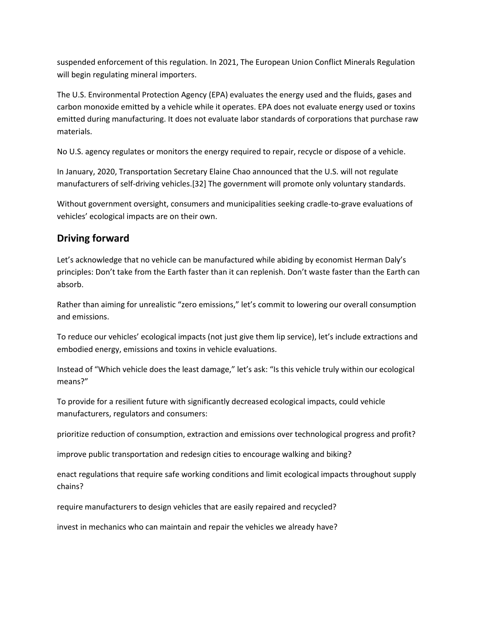suspended enforcement of this regulation. In 2021, The European Union Conflict Minerals Regulation will begin regulating mineral importers.

The U.S. Environmental Protection Agency (EPA) evaluates the energy used and the fluids, gases and carbon monoxide emitted by a vehicle while it operates. EPA does not evaluate energy used or toxins emitted during manufacturing. It does not evaluate labor standards of corporations that purchase raw materials.

No U.S. agency regulates or monitors the energy required to repair, recycle or dispose of a vehicle.

In January, 2020, Transportation Secretary Elaine Chao announced that the U.S. will not regulate manufacturers of self-driving vehicles.[32] The government will promote only voluntary standards.

Without government oversight, consumers and municipalities seeking cradle-to-grave evaluations of vehicles' ecological impacts are on their own.

# **Driving forward**

Let's acknowledge that no vehicle can be manufactured while abiding by economist Herman Daly's principles: Don't take from the Earth faster than it can replenish. Don't waste faster than the Earth can absorb.

Rather than aiming for unrealistic "zero emissions," let's commit to lowering our overall consumption and emissions.

To reduce our vehicles' ecological impacts (not just give them lip service), let's include extractions and embodied energy, emissions and toxins in vehicle evaluations.

Instead of "Which vehicle does the least damage," let's ask: "Is this vehicle truly within our ecological means?"

To provide for a resilient future with significantly decreased ecological impacts, could vehicle manufacturers, regulators and consumers:

prioritize reduction of consumption, extraction and emissions over technological progress and profit?

improve public transportation and redesign cities to encourage walking and biking?

enact regulations that require safe working conditions and limit ecological impacts throughout supply chains?

require manufacturers to design vehicles that are easily repaired and recycled?

invest in mechanics who can maintain and repair the vehicles we already have?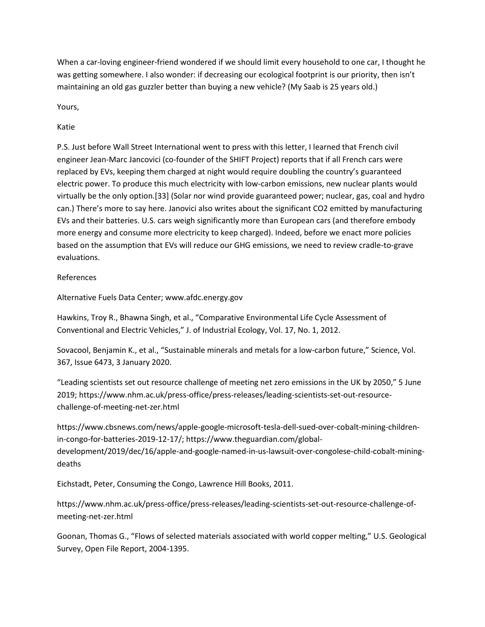When a car-loving engineer-friend wondered if we should limit every household to one car, I thought he was getting somewhere. I also wonder: if decreasing our ecological footprint is our priority, then isn't maintaining an old gas guzzler better than buying a new vehicle? (My Saab is 25 years old.)

Yours,

Katie

P.S. Just before Wall Street International went to press with this letter, I learned that French civil engineer Jean-Marc Jancovici (co-founder of the SHIFT Project) reports that if all French cars were replaced by EVs, keeping them charged at night would require doubling the country's guaranteed electric power. To produce this much electricity with low-carbon emissions, new nuclear plants would virtually be the only option.[33] (Solar nor wind provide guaranteed power; nuclear, gas, coal and hydro can.) There's more to say here. Janovici also writes about the significant CO2 emitted by manufacturing EVs and their batteries. U.S. cars weigh significantly more than European cars (and therefore embody more energy and consume more electricity to keep charged). Indeed, before we enact more policies based on the assumption that EVs will reduce our GHG emissions, we need to review cradle-to-grave evaluations.

#### References

Alternative Fuels Data Center; www.afdc.energy.gov

Hawkins, Troy R., Bhawna Singh, et al., "Comparative Environmental Life Cycle Assessment of Conventional and Electric Vehicles," J. of Industrial Ecology, Vol. 17, No. 1, 2012.

Sovacool, Benjamin K., et al., "Sustainable minerals and metals for a low-carbon future," Science, Vol. 367, Issue 6473, 3 January 2020.

"Leading scientists set out resource challenge of meeting net zero emissions in the UK by 2050," 5 June 2019; https://www.nhm.ac.uk/press-office/press-releases/leading-scientists-set-out-resourcechallenge-of-meeting-net-zer.html

https://www.cbsnews.com/news/apple-google-microsoft-tesla-dell-sued-over-cobalt-mining-childrenin-congo-for-batteries-2019-12-17/; https://www.theguardian.com/globaldevelopment/2019/dec/16/apple-and-google-named-in-us-lawsuit-over-congolese-child-cobalt-miningdeaths

Eichstadt, Peter, Consuming the Congo, Lawrence Hill Books, 2011.

https://www.nhm.ac.uk/press-office/press-releases/leading-scientists-set-out-resource-challenge-ofmeeting-net-zer.html

Goonan, Thomas G., "Flows of selected materials associated with world copper melting," U.S. Geological Survey, Open File Report, 2004-1395.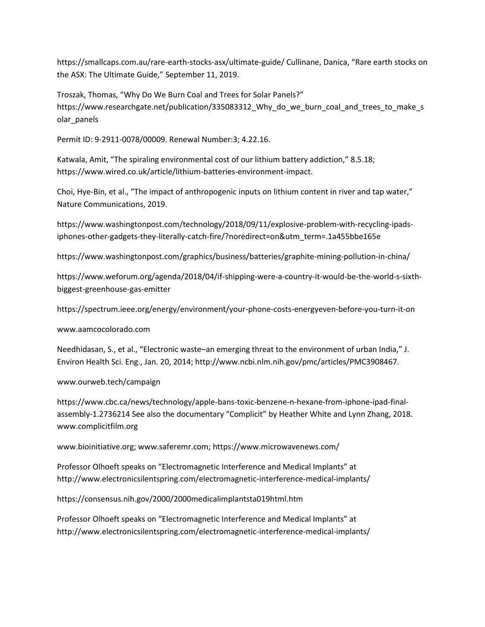https://smallcaps.com.au/rare-earth-stocks-asx/ultimate-guide/ Cullinane, Danica, "Rare earth stocks on the ASX: The Ultimate Guide," September 11, 2019.

Troszak, Thomas, "Why Do We Burn Coal and Trees for Solar Panels?" https://www.researchgate.net/publication/335083312\_Why\_do\_we\_burn\_coal\_and\_trees\_to\_make\_s olar\_panels

Permit ID: 9-2911-0078/00009. Renewal Number:3; 4.22.16.

Katwala, Amit, "The spiraling environmental cost of our lithium battery addiction," 8.5.18; https://www.wired.co.uk/article/lithium-batteries-environment-impact.

Choi, Hye-Bin, et al., "The impact of anthropogenic inputs on lithium content in river and tap water," Nature Communications, 2019.

https://www.washingtonpost.com/technology/2018/09/11/explosive-problem-with-recycling-ipadsiphones-other-gadgets-they-literally-catch-fire/?noredirect=on&utm\_term=.1a455bbe165e

https://www.washingtonpost.com/graphics/business/batteries/graphite-mining-pollution-in-china/

https://www.weforum.org/agenda/2018/04/if-shipping-were-a-country-it-would-be-the-world-s-sixthbiggest-greenhouse-gas-emitter

https://spectrum.ieee.org/energy/environment/your-phone-costs-energyeven-before-you-turn-it-on

www.aamcocolorado.com

Needhidasan, S., et al., "Electronic waste–an emerging threat to the environment of urban India," J. Environ Health Sci. Eng., Jan. 20, 2014; http://www.ncbi.nlm.nih.gov/pmc/articles/PMC3908467.

www.ourweb.tech/campaign

https://www.cbc.ca/news/technology/apple-bans-toxic-benzene-n-hexane-from-iphone-ipad-finalassembly-1.2736214 See also the documentary "Complicit" by Heather White and Lynn Zhang, 2018. www.complicitfilm.org

www.bioinitiative.org; www.saferemr.com; https://www.microwavenews.com/

Professor Olhoeft speaks on "Electromagnetic Interference and Medical Implants" at http://www.electronicsilentspring.com/electromagnetic-interference-medical-implants/

https://consensus.nih.gov/2000/2000medicalimplantsta019html.htm

Professor Olhoeft speaks on "Electromagnetic Interference and Medical Implants" at http://www.electronicsilentspring.com/electromagnetic-interference-medical-implants/